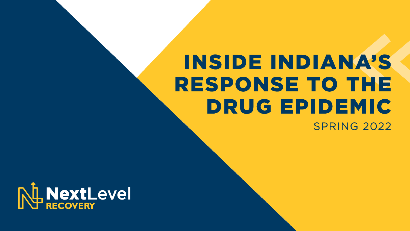# **INSIDE INDIANA'S RESPONSE TO THE DRUG EPIDEMIC SPRING 2022**

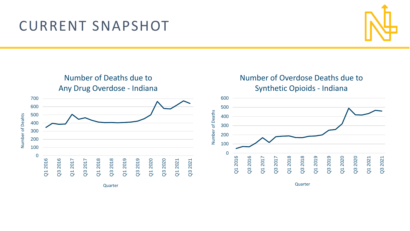## **CURRENT SNAPSHOT**



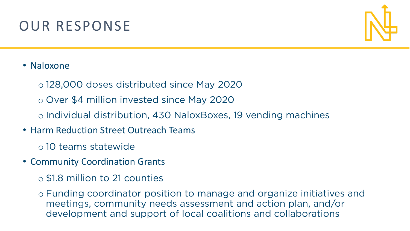# OUR RESPONSE



#### • Naloxone

- <sup>o</sup> 128,000 doses distributed since May 2020
- <sup>o</sup> Over \$4 million invested since May 2020
- <sup>o</sup> Individual distribution, 430 NaloxBoxes, 19 vending machines
- Harm Reduction Street Outreach Teams
	- <sup>o</sup> 10 teams statewide
- Community Coordination Grants
	- <sup>o</sup> \$1.8 million to 21 counties
	- o Funding coordinator position to manage and organize initiatives and<br>meetings, community needs assessment and action plan, and/or development and support of local coalitions and collaborations development and support of local coalitions and collaborations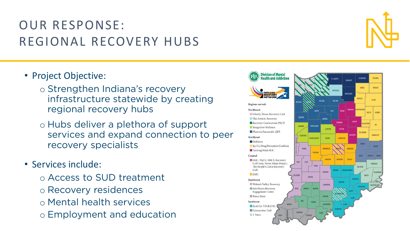## **OUR RESPONSE:** REGIONAL RECOVERY HUBS

- Project Objective:
	- o Strengthen Indiana's recovery<br>infrastructure statewide by creating regional recovery hubs
	- regional recovery hubs o Hubs deliver a plethora of support<br>services and expand connection to services and expand connection to peer<br>recovery specialists recovery specialists
- Services include:
	- <sup>o</sup> Access to SUD treatment
	- <sup>o</sup> Recovery residences
	- <sup>o</sup> Mental health services
	- <sup>o</sup> Employment and education



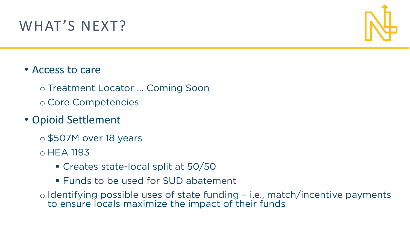# WHAT'S NEXT?



#### • Access to care

<sup>o</sup> Treatment Locator … Coming Soon

<sup>o</sup> Core Competencies

#### • Opioid Settlement

- <sup>o</sup> \$507M over 18 years
- <sup>o</sup> HEA 1193
	- Creates state-local split at 50/50
	- **EXEL Funds to be used for SUD abatement**
- <sup>o</sup> Identifying possible uses of state funding i.e., match/incentive payments to ensure locals maximize the impact of their funds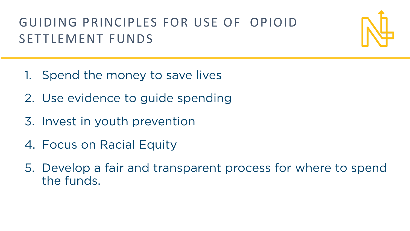# GUIDING PRINCIPLES FOR USE OF OPIOID SETTLEMENT FUNDS



- 1. Spend the money to save lives
- 2. Use evidence to guide spending
- 3. Invest in youth prevention
- $\frac{1}{2}$
- 5. Develop a fair and transparent process for where to spend the funds.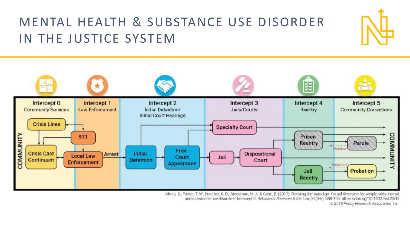## **MENTAL HEALTH & SUBSTANCE USE DISORDER** IN THE JUSTICE SYSTEM



Abreu, D., Parker, T. W., Noether, C. D., Steadman, H. J., & Case, B. (2017). Revising the paradigm for jail diversion for people with mental and substance use disorders: Intercept 0. Behavioral Sciences & the Law 35(5-6). 380-395. https://doi.org/10.1002/bsl.2300 @ 2019 Policy Research Associates, Inc.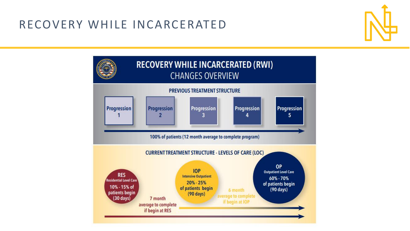#### **RECOVERY WHILE INCARCERATED**



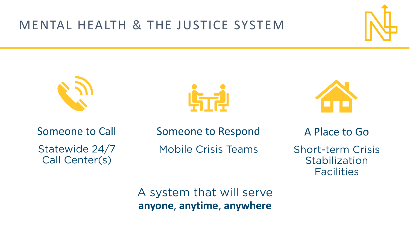### **MENTAL HEALTH & THE JUSTICE SYSTEM**









Someone to Call Statewide 24/7<br>Call Center(s) Call Center(s)

Someone to Respond **Mobile Crisis Teams** Mobile Crisis Teams

A Place to Go Short-term Crisis<br>Stabilization **Facilities** 

Facilities

anvone anytime anywhere **anyone**, **anytime**, **anywhere**